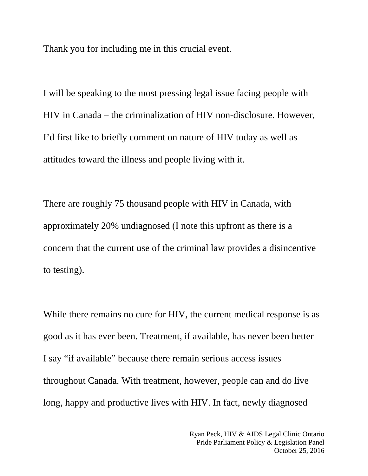Thank you for including me in this crucial event.

I will be speaking to the most pressing legal issue facing people with HIV in Canada – the criminalization of HIV non-disclosure. However, I'd first like to briefly comment on nature of HIV today as well as attitudes toward the illness and people living with it.

There are roughly 75 thousand people with HIV in Canada, with approximately 20% undiagnosed (I note this upfront as there is a concern that the current use of the criminal law provides a disincentive to testing).

While there remains no cure for HIV, the current medical response is as good as it has ever been. Treatment, if available, has never been better – I say "if available" because there remain serious access issues throughout Canada. With treatment, however, people can and do live long, happy and productive lives with HIV. In fact, newly diagnosed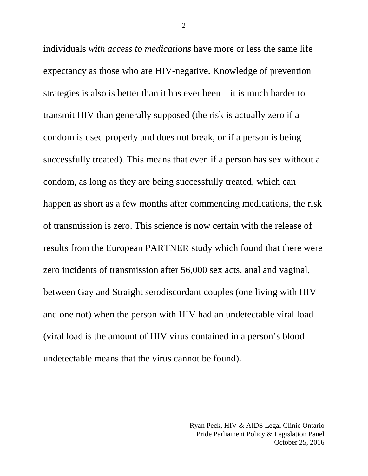individuals *with access to medications* have more or less the same life expectancy as those who are HIV-negative. Knowledge of prevention strategies is also is better than it has ever been – it is much harder to transmit HIV than generally supposed (the risk is actually zero if a condom is used properly and does not break, or if a person is being successfully treated). This means that even if a person has sex without a condom, as long as they are being successfully treated, which can happen as short as a few months after commencing medications, the risk of transmission is zero. This science is now certain with the release of results from the European PARTNER study which found that there were zero incidents of transmission after 56,000 sex acts, anal and vaginal, between Gay and Straight serodiscordant couples (one living with HIV and one not) when the person with HIV had an undetectable viral load (viral load is the amount of HIV virus contained in a person's blood – undetectable means that the virus cannot be found).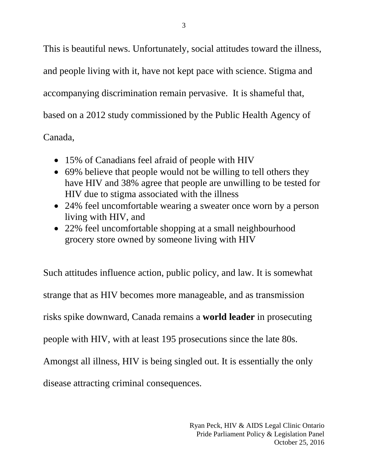This is beautiful news. Unfortunately, social attitudes toward the illness, and people living with it, have not kept pace with science. Stigma and accompanying discrimination remain pervasive. It is shameful that, based on a 2012 study commissioned by the Public Health Agency of Canada,

- 15% of Canadians feel afraid of people with HIV
- 69% believe that people would not be willing to tell others they have HIV and 38% agree that people are unwilling to be tested for HIV due to stigma associated with the illness
- 24% feel uncomfortable wearing a sweater once worn by a person living with HIV, and
- 22% feel uncomfortable shopping at a small neighbourhood grocery store owned by someone living with HIV

Such attitudes influence action, public policy, and law. It is somewhat strange that as HIV becomes more manageable, and as transmission risks spike downward, Canada remains a **world leader** in prosecuting people with HIV, with at least 195 prosecutions since the late 80s. Amongst all illness, HIV is being singled out. It is essentially the only disease attracting criminal consequences.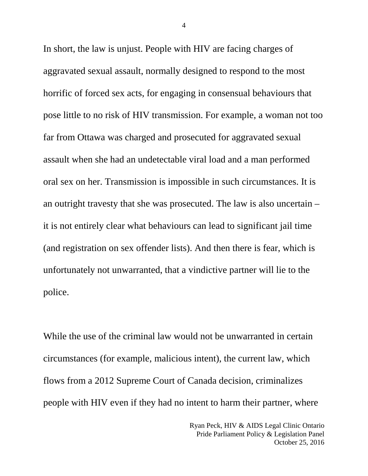In short, the law is unjust. People with HIV are facing charges of aggravated sexual assault, normally designed to respond to the most horrific of forced sex acts, for engaging in consensual behaviours that pose little to no risk of HIV transmission. For example, a woman not too far from Ottawa was charged and prosecuted for aggravated sexual assault when she had an undetectable viral load and a man performed oral sex on her. Transmission is impossible in such circumstances. It is an outright travesty that she was prosecuted. The law is also uncertain – it is not entirely clear what behaviours can lead to significant jail time (and registration on sex offender lists). And then there is fear, which is unfortunately not unwarranted, that a vindictive partner will lie to the police.

While the use of the criminal law would not be unwarranted in certain circumstances (for example, malicious intent), the current law, which flows from a 2012 Supreme Court of Canada decision, criminalizes people with HIV even if they had no intent to harm their partner, where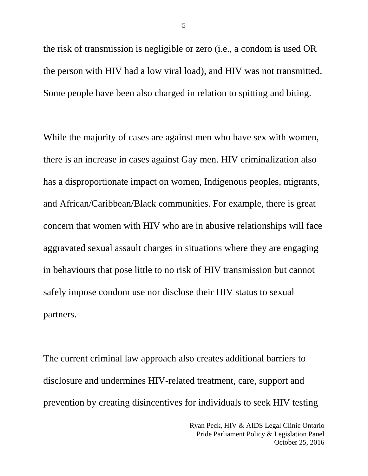the risk of transmission is negligible or zero (i.e., a condom is used OR the person with HIV had a low viral load), and HIV was not transmitted. Some people have been also charged in relation to spitting and biting.

While the majority of cases are against men who have sex with women, there is an increase in cases against Gay men. HIV criminalization also has a disproportionate impact on women, Indigenous peoples, migrants, and African/Caribbean/Black communities. For example, there is great concern that women with HIV who are in abusive relationships will face aggravated sexual assault charges in situations where they are engaging in behaviours that pose little to no risk of HIV transmission but cannot safely impose condom use nor disclose their HIV status to sexual partners.

The current criminal law approach also creates additional barriers to disclosure and undermines HIV-related treatment, care, support and prevention by creating disincentives for individuals to seek HIV testing

> Ryan Peck, HIV & AIDS Legal Clinic Ontario Pride Parliament Policy & Legislation Panel October 25, 2016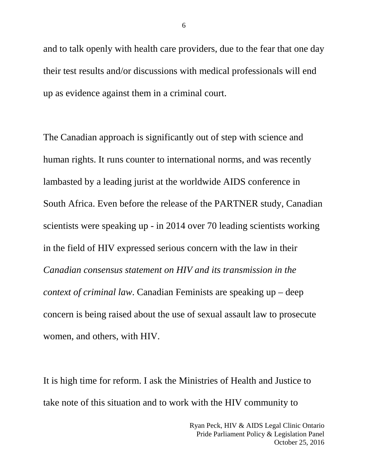and to talk openly with health care providers, due to the fear that one day their test results and/or discussions with medical professionals will end up as evidence against them in a criminal court.

The Canadian approach is significantly out of step with science and human rights. It runs counter to international norms, and was recently lambasted by a leading jurist at the worldwide AIDS conference in South Africa. Even before the release of the PARTNER study, Canadian scientists were speaking up - in 2014 over 70 leading scientists working in the field of HIV expressed serious concern with the law in their *Canadian consensus statement on HIV and its transmission in the context of criminal law*. Canadian Feminists are speaking up – deep concern is being raised about the use of sexual assault law to prosecute women, and others, with HIV.

It is high time for reform. I ask the Ministries of Health and Justice to take note of this situation and to work with the HIV community to